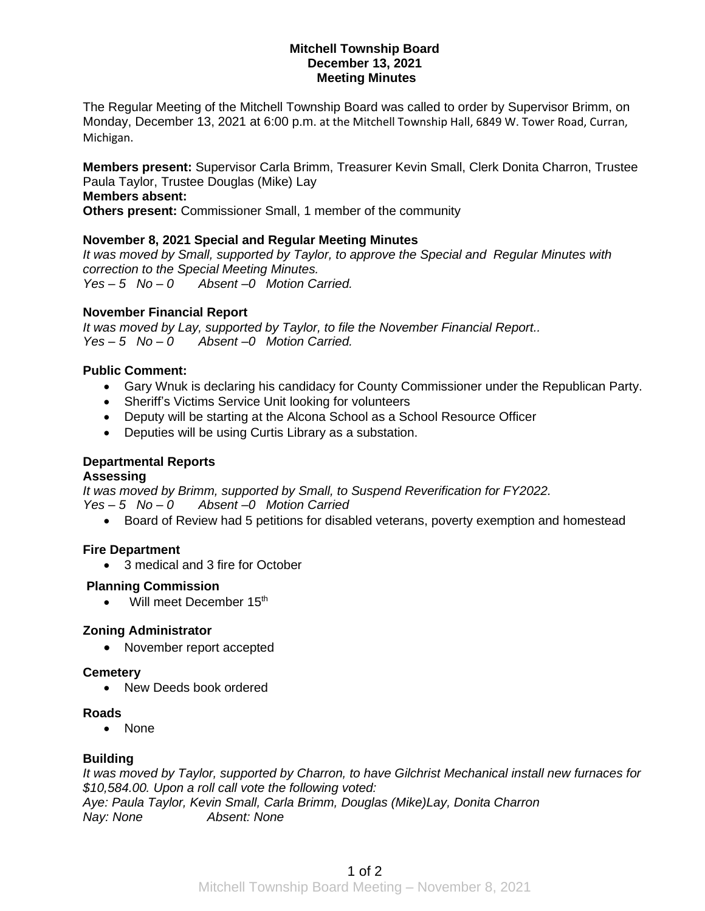### **Mitchell Township Board December 13, 2021 Meeting Minutes**

The Regular Meeting of the Mitchell Township Board was called to order by Supervisor Brimm, on Monday, December 13, 2021 at 6:00 p.m. at the Mitchell Township Hall, 6849 W. Tower Road, Curran, Michigan.

**Members present:** Supervisor Carla Brimm, Treasurer Kevin Small, Clerk Donita Charron, Trustee Paula Taylor, Trustee Douglas (Mike) Lay

#### **Members absent:**

**Others present:** Commissioner Small, 1 member of the community

# **November 8, 2021 Special and Regular Meeting Minutes**

*It was moved by Small, supported by Taylor, to approve the Special and Regular Minutes with correction to the Special Meeting Minutes. Yes – 5 No – 0 Absent –0 Motion Carried.*

### **November Financial Report**

*It was moved by Lay, supported by Taylor, to file the November Financial Report.. Yes – 5 No – 0 Absent –0 Motion Carried.*

### **Public Comment:**

- Gary Wnuk is declaring his candidacy for County Commissioner under the Republican Party.
- Sheriff's Victims Service Unit looking for volunteers
- Deputy will be starting at the Alcona School as a School Resource Officer
- Deputies will be using Curtis Library as a substation.

# **Departmental Reports**

#### **Assessing**

*It was moved by Brimm, supported by Small, to Suspend Reverification for FY2022. Yes – 5 No – 0 Absent –0 Motion Carried*

• Board of Review had 5 petitions for disabled veterans, poverty exemption and homestead

#### **Fire Department**

• 3 medical and 3 fire for October

#### **Planning Commission**

• Will meet December 15<sup>th</sup>

# **Zoning Administrator**

• November report accepted

#### **Cemetery**

• New Deeds book ordered

#### **Roads**

• None

# **Building**

*It was moved by Taylor, supported by Charron, to have Gilchrist Mechanical install new furnaces for \$10,584.00. Upon a roll call vote the following voted: Aye: Paula Taylor, Kevin Small, Carla Brimm, Douglas (Mike)Lay, Donita Charron Nay: None Absent: None*